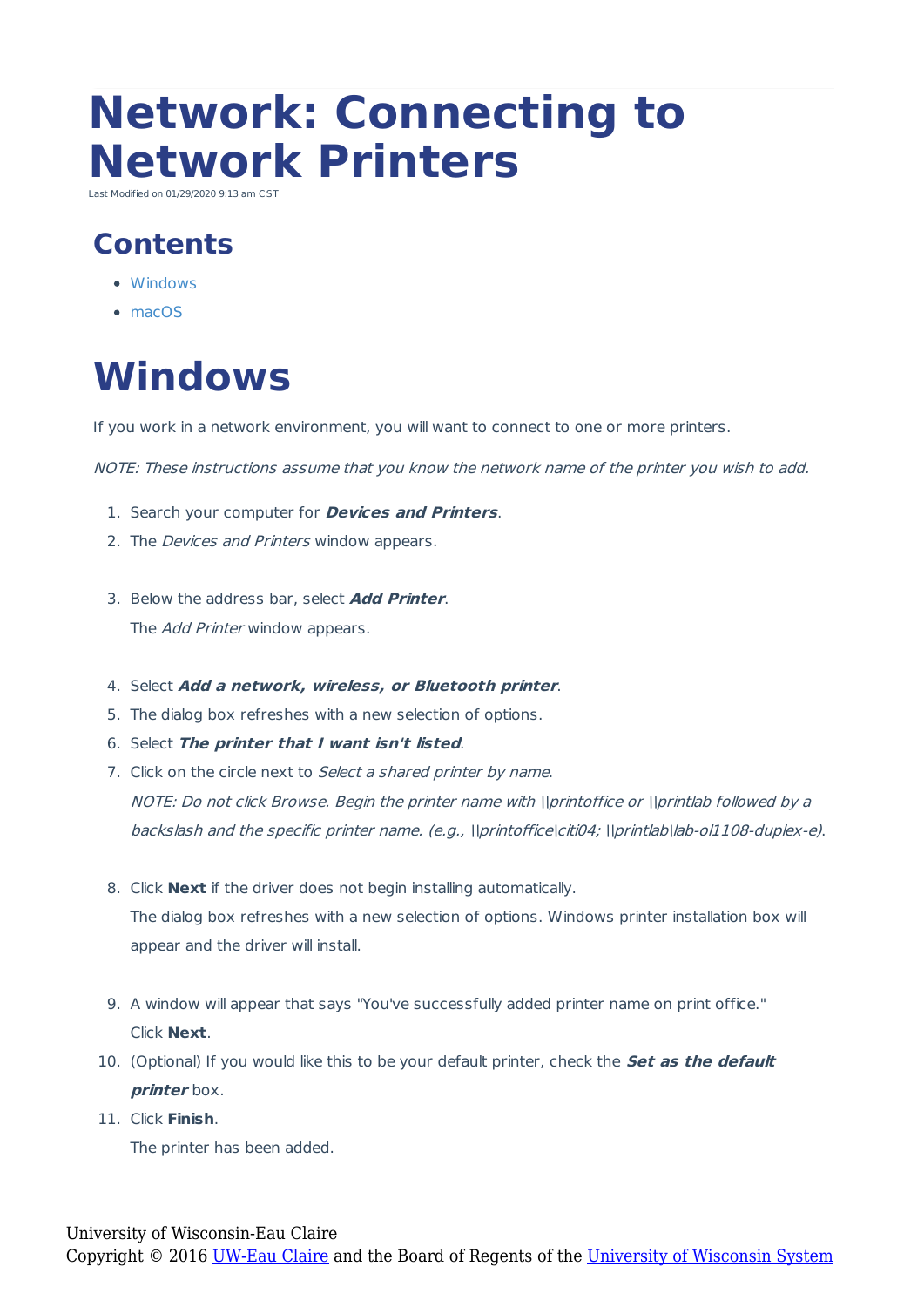# **Network: Connecting to Network Printers**

Last Modified on 01/29/2020 9:13 am CS

#### **Contents**

- Windows
- macOS

# **Windows**

If you work in a network environment, you will want to connect to one or more printers.

NOTE: These instructions assume that you know the network name of the printer you wish to add.

- 1. Search your computer for **Devices and Printers**.
- 2. The *Devices and Printers* window appears.
- 3. Below the address bar, select **Add Printer**. The *Add Printer* window appears.
- 4. Select **Add <sup>a</sup> network, wireless, or Bluetooth printer**.
- 5. The dialog box refreshes with a new selection of options.
- 6. Select **The printer that I want isn't listed**.
- 7. Click on the circle next to Select a shared printer by name. NOTE: Do not click Browse. Begin the printer name with \\printoffice or \\printlab followed by a backslash and the specific printer name. (e.g., \\printoffice\citi04; \\printlab\lab-ol1108-duplex-e).
- 8. Click **Next** if the driver does not begin installing automatically. The dialog box refreshes with a new selection of options. Windows printer installation box will appear and the driver will install.
- 9. A window will appear that says "You've successfully added printer name on print office." Click **Next**.
- 10. (Optional) If you would like this to be your default printer, check the **Set as the default printer** box.
- 11. Click **Finish**.

The printer has been added.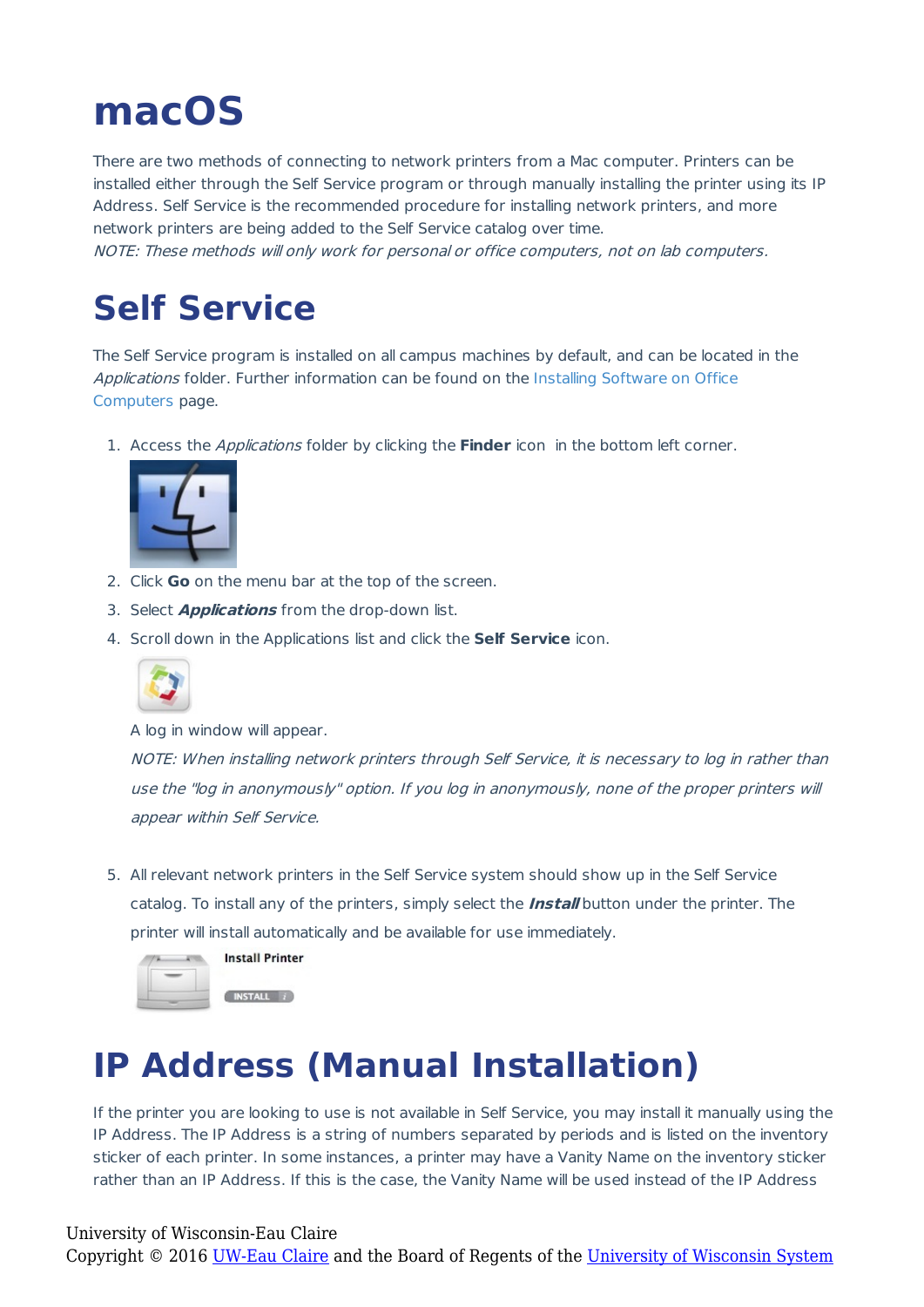## **macOS**

There are two methods of connecting to network printers from a Mac computer. Printers can be installed either through the Self Service program or through manually installing the printer using its IP Address. Self Service is the recommended procedure for installing network printers, and more network printers are being added to the Self Service catalog over time. NOTE: These methods will only work for personal or office computers, not on lab computers.

#### **Self Service**

The Self Service program is installed on all campus machines by default, and can be located in the Applications folder. Further information can be found on the Installing Software on Office Computers page.

1. Access the Applications folder by clicking the **Finder** icon in the bottom left corner.



- 2. Click **Go** on the menu bar at the top of the screen.
- 3. Select **Applications** from the drop-down list.
- 4. Scroll down in the Applications list and click the **Self Service** icon.



A log in window will appear.

NOTE: When installing network printers through Self Service, it is necessary to log in rather than use the "log in anonymously" option. If you log in anonymously, none of the proper printers will appear within Self Service.

5. All relevant network printers in the Self Service system should show up in the Self Service catalog. To install any of the printers, simply select the **Install** button under the printer. The printer will install automatically and be available for use immediately.



### **IP Address (Manual Installation)**

If the printer you are looking to use is not available in Self Service, you may install it manually using the IP Address. The IP Address is a string of numbers separated by periods and is listed on the inventory sticker of each printer. In some instances, a printer may have a Vanity Name on the inventory sticker rather than an IP Address. If this is the case, the Vanity Name will be used instead of the IP Address

University of Wisconsin-Eau Claire Copyright © 2016 [UW-Eau Claire](http://www.uwec.edu) and the Board of Regents of the [University of Wisconsin System](http://www.uwsa.edu/)